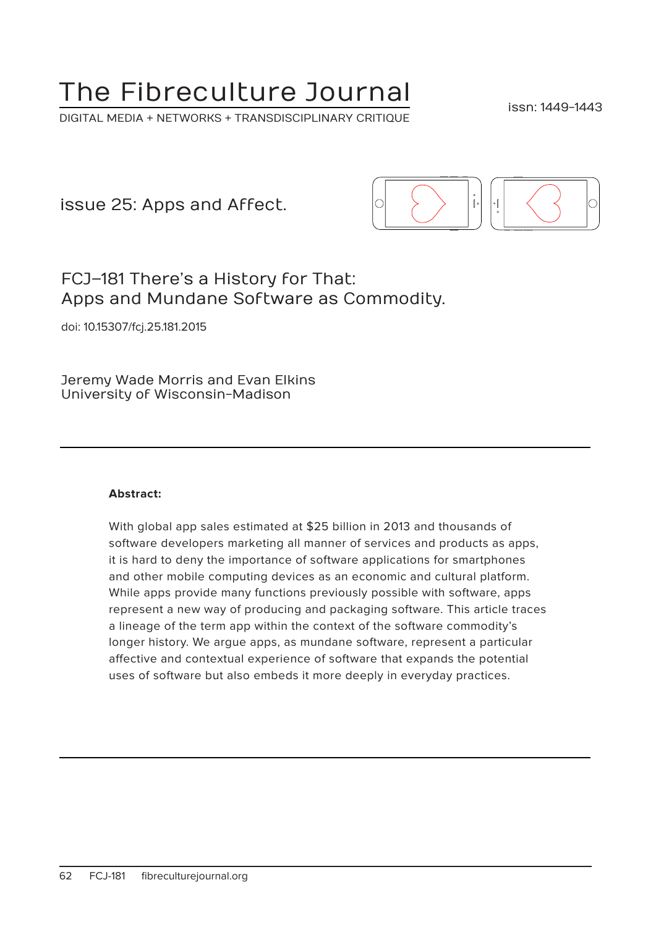# The Fibreculture Journal

DIGITAL MEDIA + NETWORKS + TRANSDISCIPLINARY CRITIQUE

issn: 1449-1443

issue 25: Apps and Affect.



# FCJ–181 There's a History for That: Apps and Mundane Software as Commodity.

doi: 10.15307/fcj.25.181.2015

Jeremy Wade Morris and Evan Elkins University of Wisconsin-Madison

#### **Abstract:**

With global app sales estimated at \$25 billion in 2013 and thousands of software developers marketing all manner of services and products as apps, it is hard to deny the importance of software applications for smartphones and other mobile computing devices as an economic and cultural platform. While apps provide many functions previously possible with software, apps represent a new way of producing and packaging software. This article traces a lineage of the term app within the context of the software commodity's longer history. We argue apps, as mundane software, represent a particular affective and contextual experience of software that expands the potential uses of software but also embeds it more deeply in everyday practices.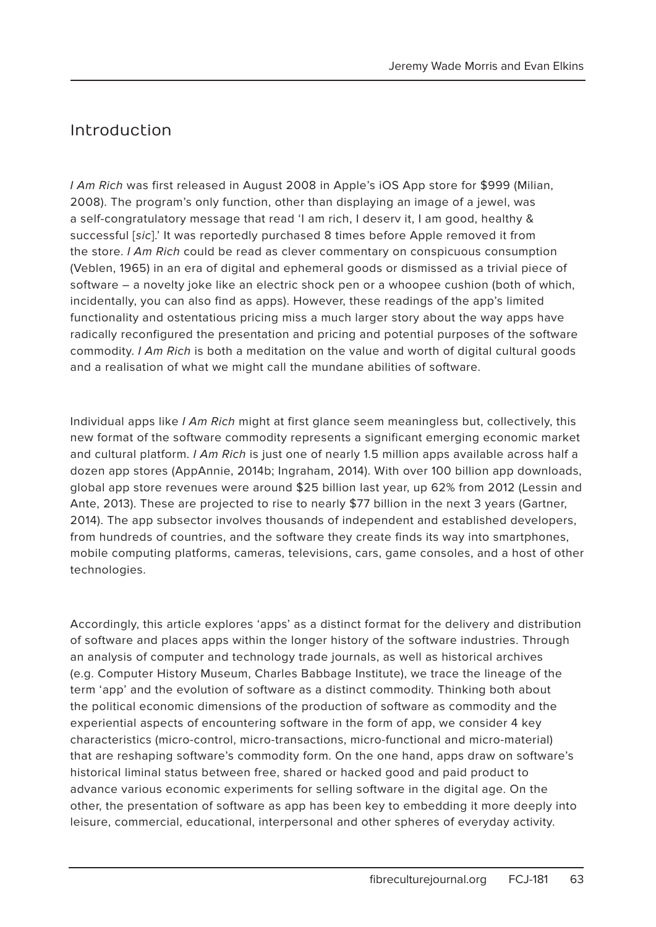# Introduction

I Am Rich was first released in August 2008 in Apple's iOS App store for \$999 (Milian, 2008). The program's only function, other than displaying an image of a jewel, was a self-congratulatory message that read 'I am rich, I deserv it, I am good, healthy & successful [sic].' It was reportedly purchased 8 times before Apple removed it from the store. I Am Rich could be read as clever commentary on conspicuous consumption (Veblen, 1965) in an era of digital and ephemeral goods or dismissed as a trivial piece of software – a novelty joke like an electric shock pen or a whoopee cushion (both of which, incidentally, you can also find as apps). However, these readings of the app's limited functionality and ostentatious pricing miss a much larger story about the way apps have radically reconfigured the presentation and pricing and potential purposes of the software commodity. I Am Rich is both a meditation on the value and worth of digital cultural goods and a realisation of what we might call the mundane abilities of software.

Individual apps like I Am Rich might at first glance seem meaningless but, collectively, this new format of the software commodity represents a significant emerging economic market and cultural platform. I Am Rich is just one of nearly 1.5 million apps available across half a dozen app stores (AppAnnie, 2014b; Ingraham, 2014). With over 100 billion app downloads, global app store revenues were around \$25 billion last year, up 62% from 2012 (Lessin and Ante, 2013). These are projected to rise to nearly \$77 billion in the next 3 years (Gartner, 2014). The app subsector involves thousands of independent and established developers, from hundreds of countries, and the software they create finds its way into smartphones, mobile computing platforms, cameras, televisions, cars, game consoles, and a host of other technologies.

Accordingly, this article explores 'apps' as a distinct format for the delivery and distribution of software and places apps within the longer history of the software industries. Through an analysis of computer and technology trade journals, as well as historical archives (e.g. Computer History Museum, Charles Babbage Institute), we trace the lineage of the term 'app' and the evolution of software as a distinct commodity. Thinking both about the political economic dimensions of the production of software as commodity and the experiential aspects of encountering software in the form of app, we consider 4 key characteristics (micro-control, micro-transactions, micro-functional and micro-material) that are reshaping software's commodity form. On the one hand, apps draw on software's historical liminal status between free, shared or hacked good and paid product to advance various economic experiments for selling software in the digital age. On the other, the presentation of software as app has been key to embedding it more deeply into leisure, commercial, educational, interpersonal and other spheres of everyday activity.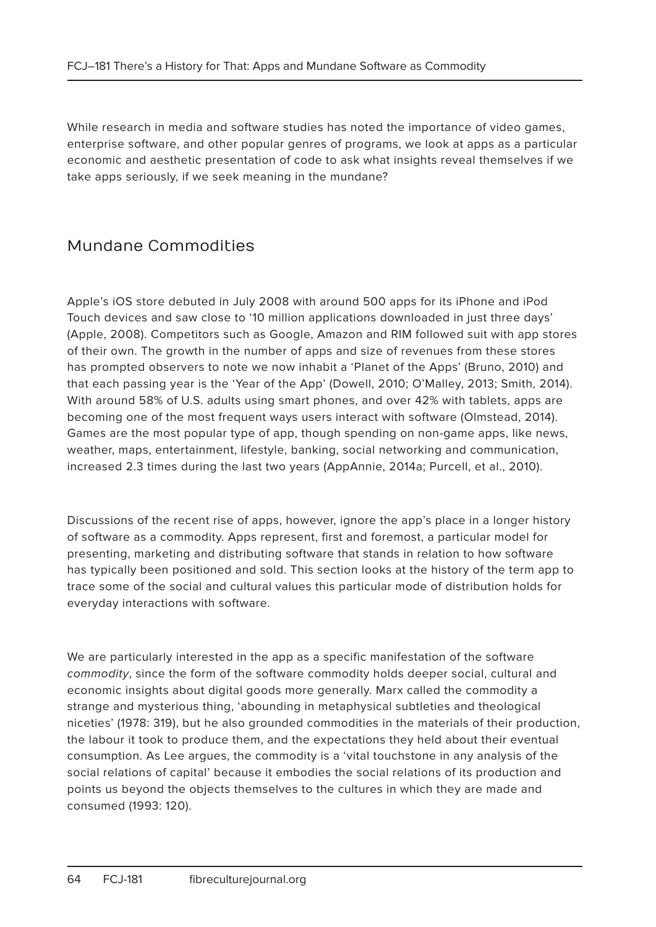While research in media and software studies has noted the importance of video games, enterprise software, and other popular genres of programs, we look at apps as a particular economic and aesthetic presentation of code to ask what insights reveal themselves if we take apps seriously, if we seek meaning in the mundane?

# Mundane Commodities

Apple's iOS store debuted in July 2008 with around 500 apps for its iPhone and iPod Touch devices and saw close to '10 million applications downloaded in just three days' (Apple, 2008). Competitors such as Google, Amazon and RIM followed suit with app stores of their own. The growth in the number of apps and size of revenues from these stores has prompted observers to note we now inhabit a 'Planet of the Apps' (Bruno, 2010) and that each passing year is the 'Year of the App' (Dowell, 2010; O'Malley, 2013; Smith, 2014). With around 58% of U.S. adults using smart phones, and over 42% with tablets, apps are becoming one of the most frequent ways users interact with software (Olmstead, 2014). Games are the most popular type of app, though spending on non-game apps, like news, weather, maps, entertainment, lifestyle, banking, social networking and communication, increased 2.3 times during the last two years (AppAnnie, 2014a; Purcell, et al., 2010).

Discussions of the recent rise of apps, however, ignore the app's place in a longer history of software as a commodity. Apps represent, first and foremost, a particular model for presenting, marketing and distributing software that stands in relation to how software has typically been positioned and sold. This section looks at the history of the term app to trace some of the social and cultural values this particular mode of distribution holds for everyday interactions with software.

We are particularly interested in the app as a specific manifestation of the software commodity, since the form of the software commodity holds deeper social, cultural and economic insights about digital goods more generally. Marx called the commodity a strange and mysterious thing, 'abounding in metaphysical subtleties and theological niceties' (1978: 319), but he also grounded commodities in the materials of their production, the labour it took to produce them, and the expectations they held about their eventual consumption. As Lee argues, the commodity is a 'vital touchstone in any analysis of the social relations of capital' because it embodies the social relations of its production and points us beyond the objects themselves to the cultures in which they are made and consumed (1993: 120).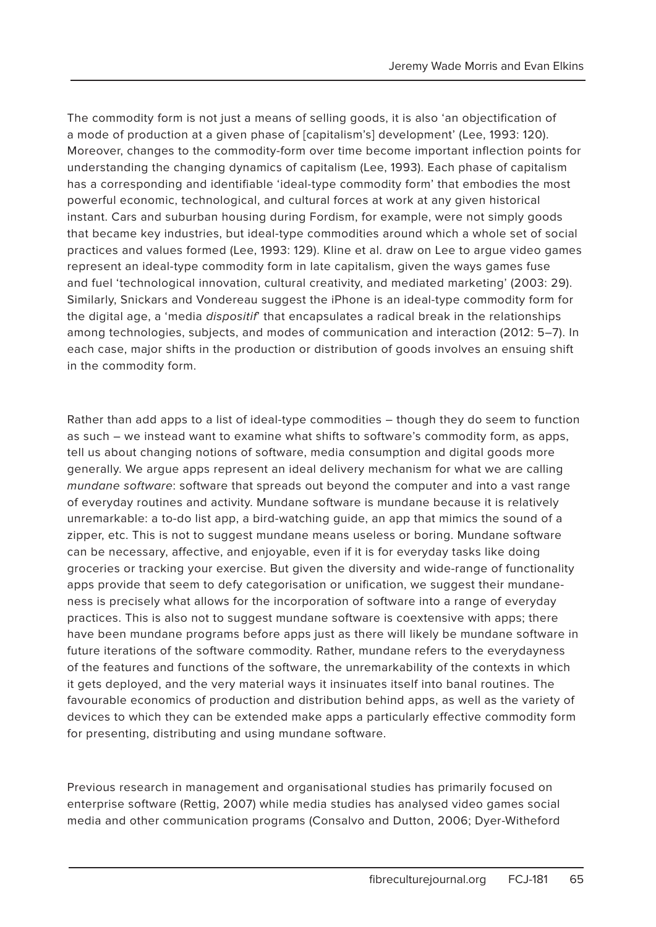The commodity form is not just a means of selling goods, it is also 'an objectification of a mode of production at a given phase of [capitalism's] development' (Lee, 1993: 120). Moreover, changes to the commodity-form over time become important inflection points for understanding the changing dynamics of capitalism (Lee, 1993). Each phase of capitalism has a corresponding and identifiable 'ideal-type commodity form' that embodies the most powerful economic, technological, and cultural forces at work at any given historical instant. Cars and suburban housing during Fordism, for example, were not simply goods that became key industries, but ideal-type commodities around which a whole set of social practices and values formed (Lee, 1993: 129). Kline et al. draw on Lee to argue video games represent an ideal-type commodity form in late capitalism, given the ways games fuse and fuel 'technological innovation, cultural creativity, and mediated marketing' (2003: 29). Similarly, Snickars and Vondereau suggest the iPhone is an ideal-type commodity form for the digital age, a 'media dispositif' that encapsulates a radical break in the relationships among technologies, subjects, and modes of communication and interaction (2012: 5–7). In each case, major shifts in the production or distribution of goods involves an ensuing shift in the commodity form.

Rather than add apps to a list of ideal-type commodities – though they do seem to function as such – we instead want to examine what shifts to software's commodity form, as apps, tell us about changing notions of software, media consumption and digital goods more generally. We argue apps represent an ideal delivery mechanism for what we are calling mundane software: software that spreads out beyond the computer and into a vast range of everyday routines and activity. Mundane software is mundane because it is relatively unremarkable: a to-do list app, a bird-watching guide, an app that mimics the sound of a zipper, etc. This is not to suggest mundane means useless or boring. Mundane software can be necessary, affective, and enjoyable, even if it is for everyday tasks like doing groceries or tracking your exercise. But given the diversity and wide-range of functionality apps provide that seem to defy categorisation or unification, we suggest their mundaneness is precisely what allows for the incorporation of software into a range of everyday practices. This is also not to suggest mundane software is coextensive with apps; there have been mundane programs before apps just as there will likely be mundane software in future iterations of the software commodity. Rather, mundane refers to the everydayness of the features and functions of the software, the unremarkability of the contexts in which it gets deployed, and the very material ways it insinuates itself into banal routines. The favourable economics of production and distribution behind apps, as well as the variety of devices to which they can be extended make apps a particularly effective commodity form for presenting, distributing and using mundane software.

Previous research in management and organisational studies has primarily focused on enterprise software (Rettig, 2007) while media studies has analysed video games social media and other communication programs (Consalvo and Dutton, 2006; Dyer-Witheford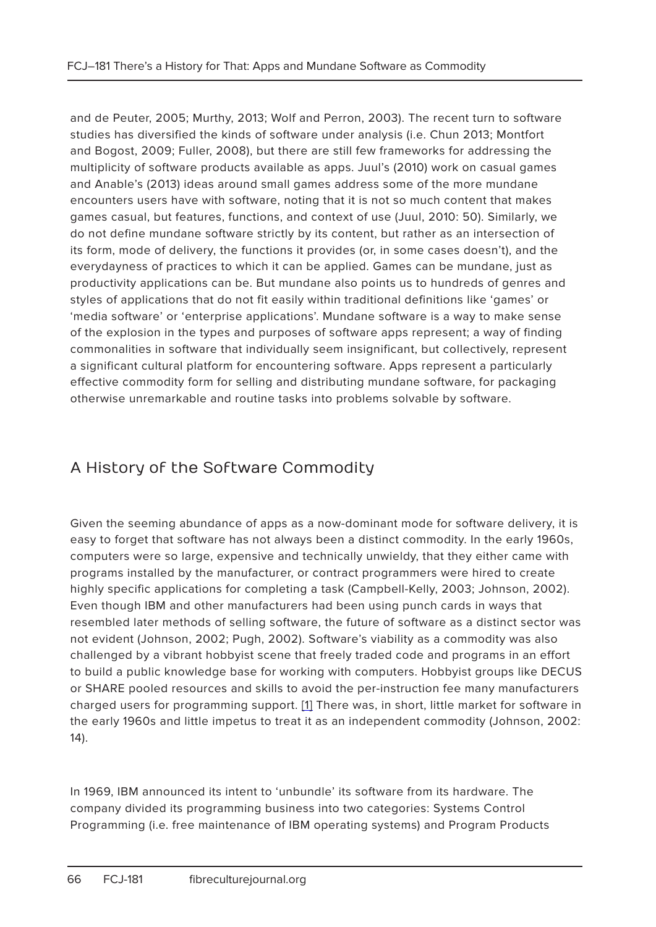and de Peuter, 2005; Murthy, 2013; Wolf and Perron, 2003). The recent turn to software studies has diversified the kinds of software under analysis (i.e. Chun 2013; Montfort and Bogost, 2009; Fuller, 2008), but there are still few frameworks for addressing the multiplicity of software products available as apps. Juul's (2010) work on casual games and Anable's (2013) ideas around small games address some of the more mundane encounters users have with software, noting that it is not so much content that makes games casual, but features, functions, and context of use (Juul, 2010: 50). Similarly, we do not define mundane software strictly by its content, but rather as an intersection of its form, mode of delivery, the functions it provides (or, in some cases doesn't), and the everydayness of practices to which it can be applied. Games can be mundane, just as productivity applications can be. But mundane also points us to hundreds of genres and styles of applications that do not fit easily within traditional definitions like 'games' or 'media software' or 'enterprise applications'. Mundane software is a way to make sense of the explosion in the types and purposes of software apps represent; a way of finding commonalities in software that individually seem insignificant, but collectively, represent a significant cultural platform for encountering software. Apps represent a particularly effective commodity form for selling and distributing mundane software, for packaging otherwise unremarkable and routine tasks into problems solvable by software.

# A History of the Software Commodity

Given the seeming abundance of apps as a now-dominant mode for software delivery, it is easy to forget that software has not always been a distinct commodity. In the early 1960s, computers were so large, expensive and technically unwieldy, that they either came with programs installed by the manufacturer, or contract programmers were hired to create highly specific applications for completing a task (Campbell-Kelly, 2003; Johnson, 2002). Even though IBM and other manufacturers had been using punch cards in ways that resembled later methods of selling software, the future of software as a distinct sector was not evident (Johnson, 2002; Pugh, 2002). Software's viability as a commodity was also challenged by a vibrant hobbyist scene that freely traded code and programs in an effort to build a public knowledge base for working with computers. Hobbyist groups like DECUS or SHARE pooled resources and skills to avoid the per-instruction fee many manufacturers charged users for programming support. [1] There was, in short, little market for software in the early 1960s and little impetus to treat it as an independent commodity (Johnson, 2002: 14).

In 1969, IBM announced its intent to 'unbundle' its software from its hardware. The company divided its programming business into two categories: Systems Control Programming (i.e. free maintenance of IBM operating systems) and Program Products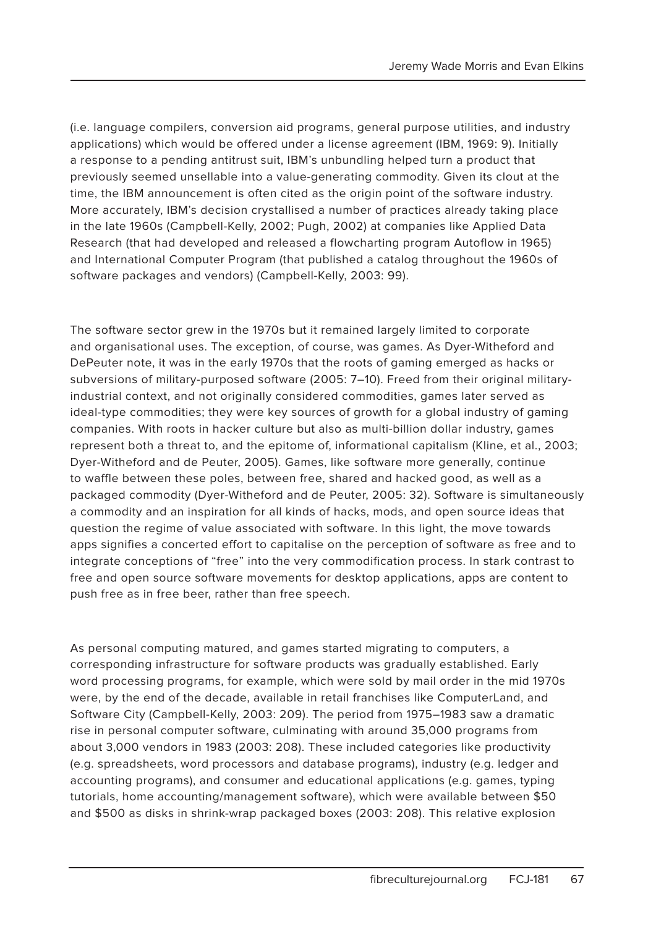(i.e. language compilers, conversion aid programs, general purpose utilities, and industry applications) which would be offered under a license agreement (IBM, 1969: 9). Initially a response to a pending antitrust suit, IBM's unbundling helped turn a product that previously seemed unsellable into a value-generating commodity. Given its clout at the time, the IBM announcement is often cited as the origin point of the software industry. More accurately, IBM's decision crystallised a number of practices already taking place in the late 1960s (Campbell-Kelly, 2002; Pugh, 2002) at companies like Applied Data Research (that had developed and released a flowcharting program Autoflow in 1965) and International Computer Program (that published a catalog throughout the 1960s of software packages and vendors) (Campbell-Kelly, 2003: 99).

The software sector grew in the 1970s but it remained largely limited to corporate and organisational uses. The exception, of course, was games. As Dyer-Witheford and DePeuter note, it was in the early 1970s that the roots of gaming emerged as hacks or subversions of military-purposed software (2005: 7–10). Freed from their original militaryindustrial context, and not originally considered commodities, games later served as ideal-type commodities; they were key sources of growth for a global industry of gaming companies. With roots in hacker culture but also as multi-billion dollar industry, games represent both a threat to, and the epitome of, informational capitalism (Kline, et al., 2003; Dyer-Witheford and de Peuter, 2005). Games, like software more generally, continue to waffle between these poles, between free, shared and hacked good, as well as a packaged commodity (Dyer-Witheford and de Peuter, 2005: 32). Software is simultaneously a commodity and an inspiration for all kinds of hacks, mods, and open source ideas that question the regime of value associated with software. In this light, the move towards apps signifies a concerted effort to capitalise on the perception of software as free and to integrate conceptions of "free" into the very commodification process. In stark contrast to free and open source software movements for desktop applications, apps are content to push free as in free beer, rather than free speech.

As personal computing matured, and games started migrating to computers, a corresponding infrastructure for software products was gradually established. Early word processing programs, for example, which were sold by mail order in the mid 1970s were, by the end of the decade, available in retail franchises like ComputerLand, and Software City (Campbell-Kelly, 2003: 209). The period from 1975–1983 saw a dramatic rise in personal computer software, culminating with around 35,000 programs from about 3,000 vendors in 1983 (2003: 208). These included categories like productivity (e.g. spreadsheets, word processors and database programs), industry (e.g. ledger and accounting programs), and consumer and educational applications (e.g. games, typing tutorials, home accounting/management software), which were available between \$50 and \$500 as disks in shrink-wrap packaged boxes (2003: 208). This relative explosion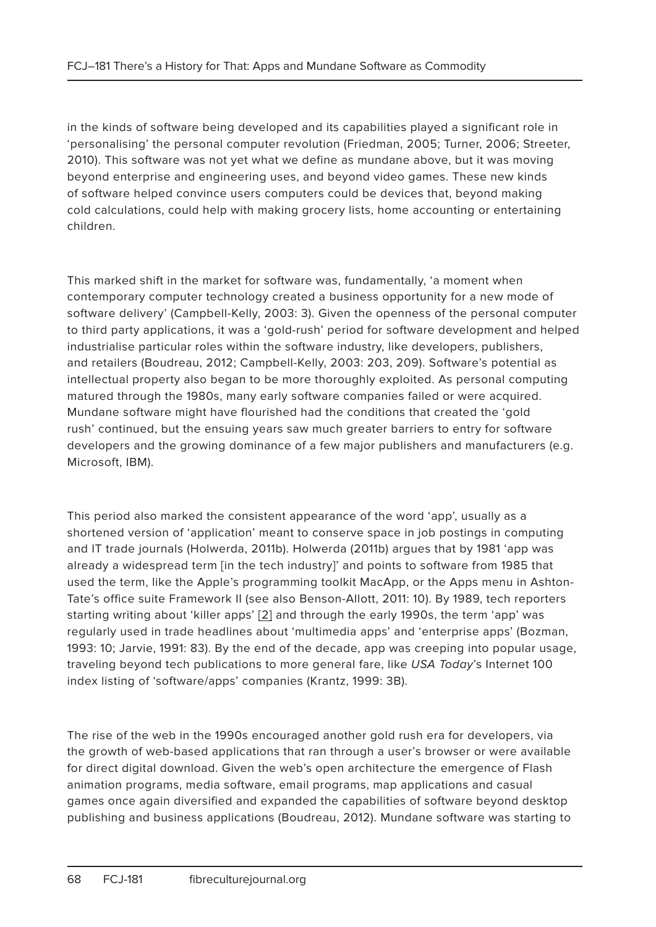in the kinds of software being developed and its capabilities played a significant role in 'personalising' the personal computer revolution (Friedman, 2005; Turner, 2006; Streeter, 2010). This software was not yet what we define as mundane above, but it was moving beyond enterprise and engineering uses, and beyond video games. These new kinds of software helped convince users computers could be devices that, beyond making cold calculations, could help with making grocery lists, home accounting or entertaining children.

This marked shift in the market for software was, fundamentally, 'a moment when contemporary computer technology created a business opportunity for a new mode of software delivery' (Campbell-Kelly, 2003: 3). Given the openness of the personal computer to third party applications, it was a 'gold-rush' period for software development and helped industrialise particular roles within the software industry, like developers, publishers, and retailers (Boudreau, 2012; Campbell-Kelly, 2003: 203, 209). Software's potential as intellectual property also began to be more thoroughly exploited. As personal computing matured through the 1980s, many early software companies failed or were acquired. Mundane software might have flourished had the conditions that created the 'gold rush' continued, but the ensuing years saw much greater barriers to entry for software developers and the growing dominance of a few major publishers and manufacturers (e.g. Microsoft, IBM).

This period also marked the consistent appearance of the word 'app', usually as a shortened version of 'application' meant to conserve space in job postings in computing and IT trade journals (Holwerda, 2011b). Holwerda (2011b) argues that by 1981 'app was already a widespread term [in the tech industry]' and points to software from 1985 that used the term, like the Apple's programming toolkit MacApp, or the Apps menu in Ashton-Tate's office suite Framework II (see also Benson-Allott, 2011: 10). By 1989, tech reporters starting writing about 'killer apps' [2] and through the early 1990s, the term 'app' was regularly used in trade headlines about 'multimedia apps' and 'enterprise apps' (Bozman, 1993: 10; Jarvie, 1991: 83). By the end of the decade, app was creeping into popular usage, traveling beyond tech publications to more general fare, like USA Today's Internet 100 index listing of 'software/apps' companies (Krantz, 1999: 3B).

The rise of the web in the 1990s encouraged another gold rush era for developers, via the growth of web-based applications that ran through a user's browser or were available for direct digital download. Given the web's open architecture the emergence of Flash animation programs, media software, email programs, map applications and casual games once again diversified and expanded the capabilities of software beyond desktop publishing and business applications (Boudreau, 2012). Mundane software was starting to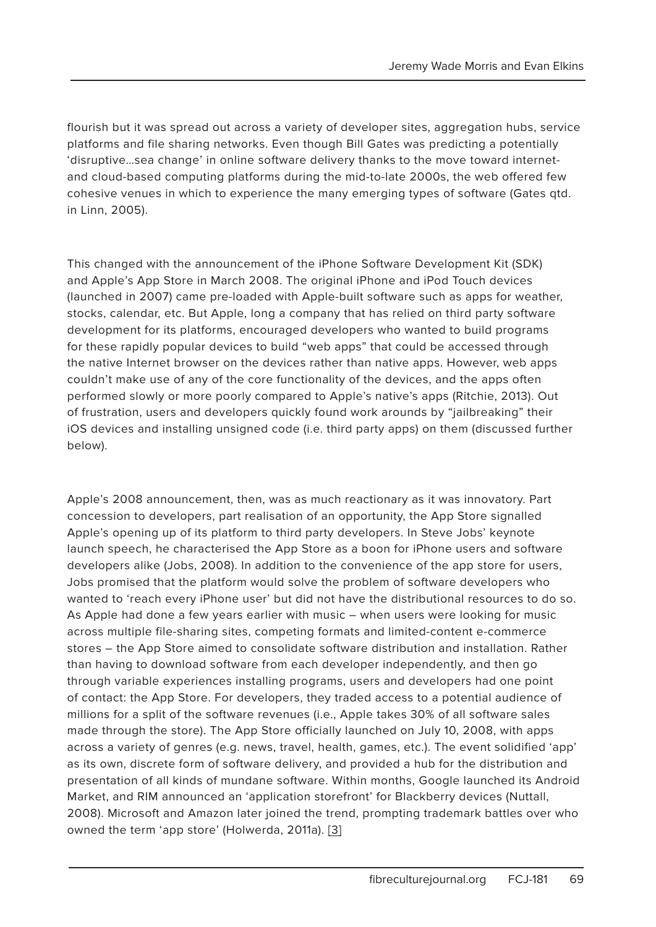flourish but it was spread out across a variety of developer sites, aggregation hubs, service platforms and file sharing networks. Even though Bill Gates was predicting a potentially 'disruptive…sea change' in online software delivery thanks to the move toward internetand cloud-based computing platforms during the mid-to-late 2000s, the web offered few cohesive venues in which to experience the many emerging types of software (Gates qtd. in Linn, 2005).

This changed with the announcement of the iPhone Software Development Kit (SDK) and Apple's App Store in March 2008. The original iPhone and iPod Touch devices (launched in 2007) came pre-loaded with Apple-built software such as apps for weather, stocks, calendar, etc. But Apple, long a company that has relied on third party software development for its platforms, encouraged developers who wanted to build programs for these rapidly popular devices to build "web apps" that could be accessed through the native Internet browser on the devices rather than native apps. However, web apps couldn't make use of any of the core functionality of the devices, and the apps often performed slowly or more poorly compared to Apple's native's apps (Ritchie, 2013). Out of frustration, users and developers quickly found work arounds by "jailbreaking" their iOS devices and installing unsigned code (i.e. third party apps) on them (discussed further below).

Apple's 2008 announcement, then, was as much reactionary as it was innovatory. Part concession to developers, part realisation of an opportunity, the App Store signalled Apple's opening up of its platform to third party developers. In Steve Jobs' keynote launch speech, he characterised the App Store as a boon for iPhone users and software developers alike (Jobs, 2008). In addition to the convenience of the app store for users, Jobs promised that the platform would solve the problem of software developers who wanted to 'reach every iPhone user' but did not have the distributional resources to do so. As Apple had done a few years earlier with music – when users were looking for music across multiple file-sharing sites, competing formats and limited-content e-commerce stores – the App Store aimed to consolidate software distribution and installation. Rather than having to download software from each developer independently, and then go through variable experiences installing programs, users and developers had one point of contact: the App Store. For developers, they traded access to a potential audience of millions for a split of the software revenues (i.e., Apple takes 30% of all software sales made through the store). The App Store officially launched on July 10, 2008, with apps across a variety of genres (e.g. news, travel, health, games, etc.). The event solidified 'app' as its own, discrete form of software delivery, and provided a hub for the distribution and presentation of all kinds of mundane software. Within months, Google launched its Android Market, and RIM announced an 'application storefront' for Blackberry devices (Nuttall, 2008). Microsoft and Amazon later joined the trend, prompting trademark battles over who owned the term 'app store' (Holwerda, 2011a). [3]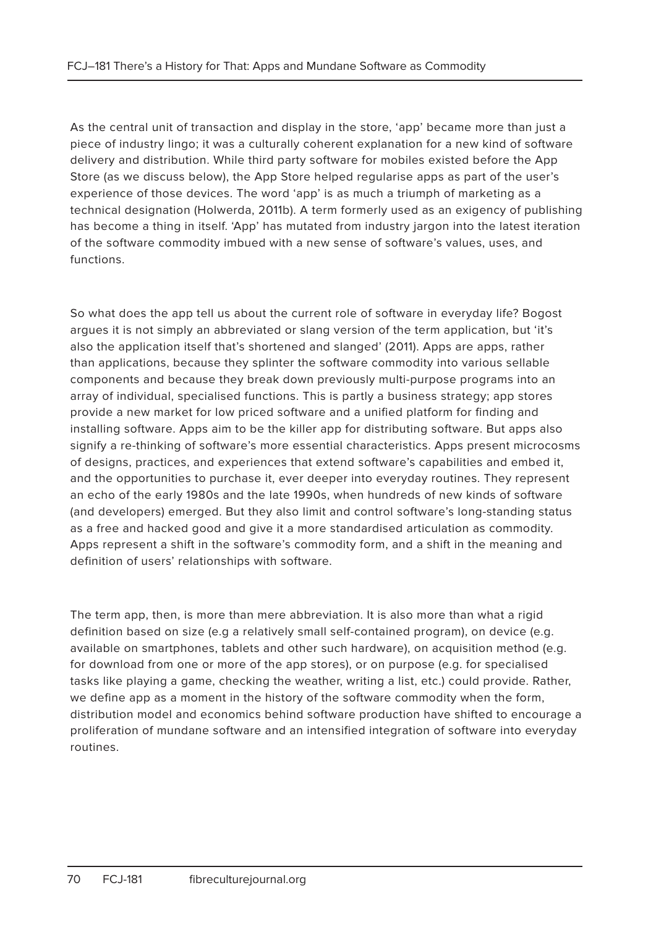As the central unit of transaction and display in the store, 'app' became more than just a piece of industry lingo; it was a culturally coherent explanation for a new kind of software delivery and distribution. While third party software for mobiles existed before the App Store (as we discuss below), the App Store helped regularise apps as part of the user's experience of those devices. The word 'app' is as much a triumph of marketing as a technical designation (Holwerda, 2011b). A term formerly used as an exigency of publishing has become a thing in itself. 'App' has mutated from industry jargon into the latest iteration of the software commodity imbued with a new sense of software's values, uses, and functions.

So what does the app tell us about the current role of software in everyday life? Bogost argues it is not simply an abbreviated or slang version of the term application, but 'it's also the application itself that's shortened and slanged' (2011). Apps are apps, rather than applications, because they splinter the software commodity into various sellable components and because they break down previously multi-purpose programs into an array of individual, specialised functions. This is partly a business strategy; app stores provide a new market for low priced software and a unified platform for finding and installing software. Apps aim to be the killer app for distributing software. But apps also signify a re-thinking of software's more essential characteristics. Apps present microcosms of designs, practices, and experiences that extend software's capabilities and embed it, and the opportunities to purchase it, ever deeper into everyday routines. They represent an echo of the early 1980s and the late 1990s, when hundreds of new kinds of software (and developers) emerged. But they also limit and control software's long-standing status as a free and hacked good and give it a more standardised articulation as commodity. Apps represent a shift in the software's commodity form, and a shift in the meaning and definition of users' relationships with software.

The term app, then, is more than mere abbreviation. It is also more than what a rigid definition based on size (e.g a relatively small self-contained program), on device (e.g. available on smartphones, tablets and other such hardware), on acquisition method (e.g. for download from one or more of the app stores), or on purpose (e.g. for specialised tasks like playing a game, checking the weather, writing a list, etc.) could provide. Rather, we define app as a moment in the history of the software commodity when the form, distribution model and economics behind software production have shifted to encourage a proliferation of mundane software and an intensified integration of software into everyday routines.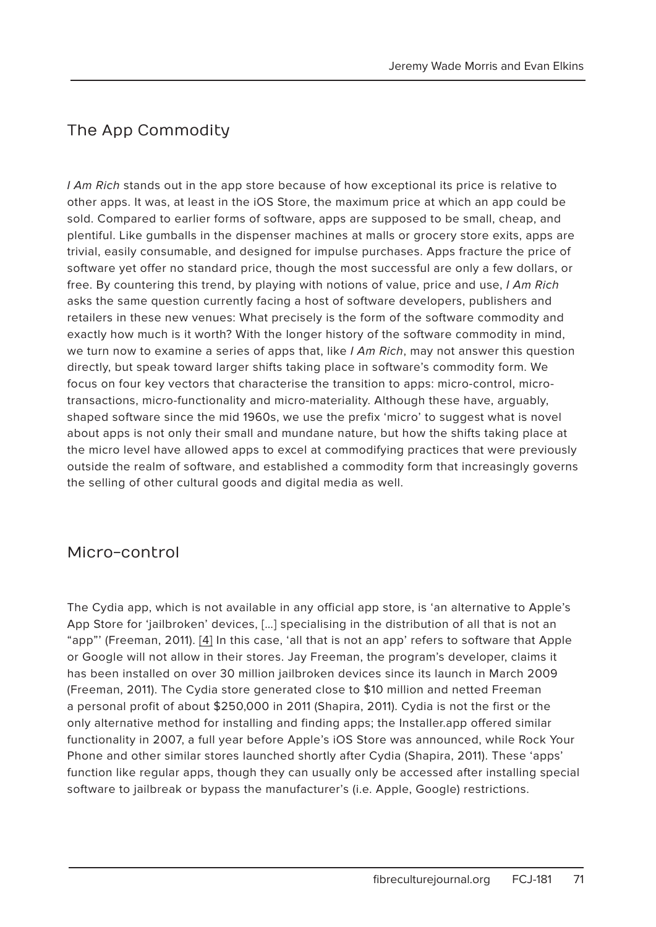# The App Commodity

I Am Rich stands out in the app store because of how exceptional its price is relative to other apps. It was, at least in the iOS Store, the maximum price at which an app could be sold. Compared to earlier forms of software, apps are supposed to be small, cheap, and plentiful. Like gumballs in the dispenser machines at malls or grocery store exits, apps are trivial, easily consumable, and designed for impulse purchases. Apps fracture the price of software yet offer no standard price, though the most successful are only a few dollars, or free. By countering this trend, by playing with notions of value, price and use, I Am Rich asks the same question currently facing a host of software developers, publishers and retailers in these new venues: What precisely is the form of the software commodity and exactly how much is it worth? With the longer history of the software commodity in mind, we turn now to examine a series of apps that, like  $I Am Rich$ , may not answer this question directly, but speak toward larger shifts taking place in software's commodity form. We focus on four key vectors that characterise the transition to apps: micro-control, microtransactions, micro-functionality and micro-materiality. Although these have, arguably, shaped software since the mid 1960s, we use the prefix 'micro' to suggest what is novel about apps is not only their small and mundane nature, but how the shifts taking place at the micro level have allowed apps to excel at commodifying practices that were previously outside the realm of software, and established a commodity form that increasingly governs the selling of other cultural goods and digital media as well.

### Micro-control

The Cydia app, which is not available in any official app store, is 'an alternative to Apple's App Store for 'jailbroken' devices, […] specialising in the distribution of all that is not an "app"' (Freeman, 2011). [4] In this case, 'all that is not an app' refers to software that Apple or Google will not allow in their stores. Jay Freeman, the program's developer, claims it has been installed on over 30 million jailbroken devices since its launch in March 2009 (Freeman, 2011). The Cydia store generated close to \$10 million and netted Freeman a personal profit of about \$250,000 in 2011 (Shapira, 2011). Cydia is not the first or the only alternative method for installing and finding apps; the Installer.app offered similar functionality in 2007, a full year before Apple's iOS Store was announced, while Rock Your Phone and other similar stores launched shortly after Cydia (Shapira, 2011). These 'apps' function like regular apps, though they can usually only be accessed after installing special software to jailbreak or bypass the manufacturer's (i.e. Apple, Google) restrictions.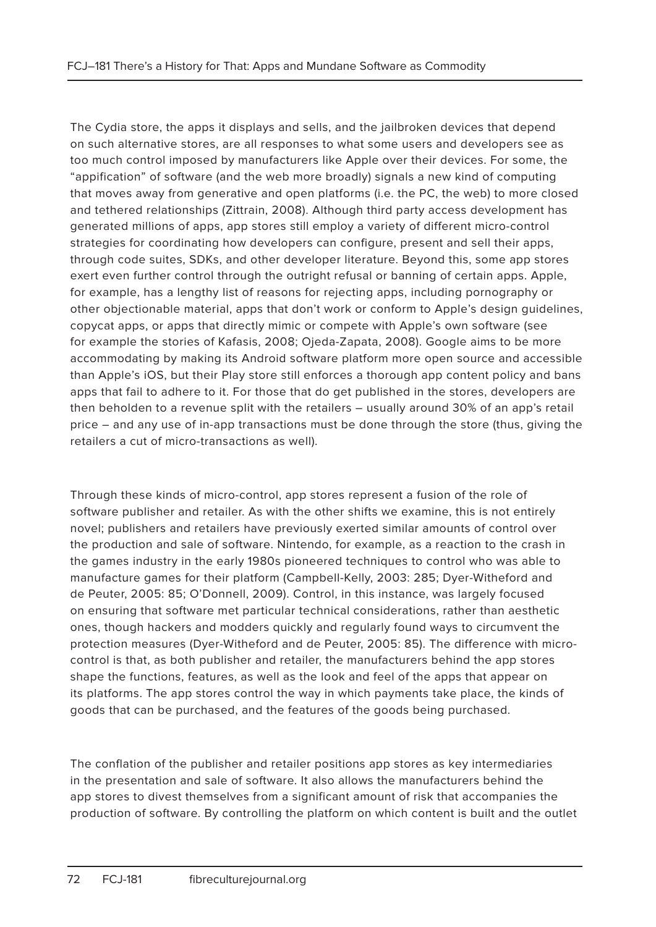The Cydia store, the apps it displays and sells, and the jailbroken devices that depend on such alternative stores, are all responses to what some users and developers see as too much control imposed by manufacturers like Apple over their devices. For some, the "appification" of software (and the web more broadly) signals a new kind of computing that moves away from generative and open platforms (i.e. the PC, the web) to more closed and tethered relationships (Zittrain, 2008). Although third party access development has generated millions of apps, app stores still employ a variety of different micro-control strategies for coordinating how developers can configure, present and sell their apps, through code suites, SDKs, and other developer literature. Beyond this, some app stores exert even further control through the outright refusal or banning of certain apps. Apple, for example, has a lengthy list of reasons for rejecting apps, including pornography or other objectionable material, apps that don't work or conform to Apple's design guidelines, copycat apps, or apps that directly mimic or compete with Apple's own software (see for example the stories of Kafasis, 2008; Ojeda-Zapata, 2008). Google aims to be more accommodating by making its Android software platform more open source and accessible than Apple's iOS, but their Play store still enforces a thorough app content policy and bans apps that fail to adhere to it. For those that do get published in the stores, developers are then beholden to a revenue split with the retailers – usually around 30% of an app's retail price – and any use of in-app transactions must be done through the store (thus, giving the retailers a cut of micro-transactions as well).

Through these kinds of micro-control, app stores represent a fusion of the role of software publisher and retailer. As with the other shifts we examine, this is not entirely novel; publishers and retailers have previously exerted similar amounts of control over the production and sale of software. Nintendo, for example, as a reaction to the crash in the games industry in the early 1980s pioneered techniques to control who was able to manufacture games for their platform (Campbell-Kelly, 2003: 285; Dyer-Witheford and de Peuter, 2005: 85; O'Donnell, 2009). Control, in this instance, was largely focused on ensuring that software met particular technical considerations, rather than aesthetic ones, though hackers and modders quickly and regularly found ways to circumvent the protection measures (Dyer-Witheford and de Peuter, 2005: 85). The difference with microcontrol is that, as both publisher and retailer, the manufacturers behind the app stores shape the functions, features, as well as the look and feel of the apps that appear on its platforms. The app stores control the way in which payments take place, the kinds of goods that can be purchased, and the features of the goods being purchased.

The conflation of the publisher and retailer positions app stores as key intermediaries in the presentation and sale of software. It also allows the manufacturers behind the app stores to divest themselves from a significant amount of risk that accompanies the production of software. By controlling the platform on which content is built and the outlet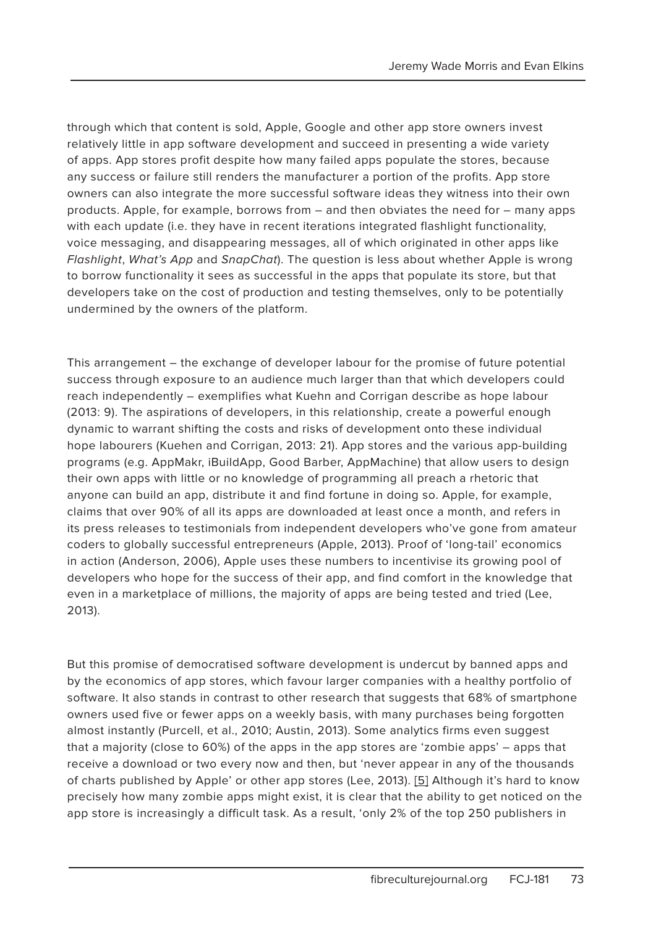through which that content is sold, Apple, Google and other app store owners invest relatively little in app software development and succeed in presenting a wide variety of apps. App stores profit despite how many failed apps populate the stores, because any success or failure still renders the manufacturer a portion of the profits. App store owners can also integrate the more successful software ideas they witness into their own products. Apple, for example, borrows from – and then obviates the need for – many apps with each update (i.e. they have in recent iterations integrated flashlight functionality, voice messaging, and disappearing messages, all of which originated in other apps like Flashlight, What's App and SnapChat). The question is less about whether Apple is wrong to borrow functionality it sees as successful in the apps that populate its store, but that developers take on the cost of production and testing themselves, only to be potentially undermined by the owners of the platform.

This arrangement – the exchange of developer labour for the promise of future potential success through exposure to an audience much larger than that which developers could reach independently – exemplifies what Kuehn and Corrigan describe as hope labour (2013: 9). The aspirations of developers, in this relationship, create a powerful enough dynamic to warrant shifting the costs and risks of development onto these individual hope labourers (Kuehen and Corrigan, 2013: 21). App stores and the various app-building programs (e.g. AppMakr, iBuildApp, Good Barber, AppMachine) that allow users to design their own apps with little or no knowledge of programming all preach a rhetoric that anyone can build an app, distribute it and find fortune in doing so. Apple, for example, claims that over 90% of all its apps are downloaded at least once a month, and refers in its press releases to testimonials from independent developers who've gone from amateur coders to globally successful entrepreneurs (Apple, 2013). Proof of 'long-tail' economics in action (Anderson, 2006), Apple uses these numbers to incentivise its growing pool of developers who hope for the success of their app, and find comfort in the knowledge that even in a marketplace of millions, the majority of apps are being tested and tried (Lee, 2013).

But this promise of democratised software development is undercut by banned apps and by the economics of app stores, which favour larger companies with a healthy portfolio of software. It also stands in contrast to other research that suggests that 68% of smartphone owners used five or fewer apps on a weekly basis, with many purchases being forgotten almost instantly (Purcell, et al., 2010; Austin, 2013). Some analytics firms even suggest that a majority (close to 60%) of the apps in the app stores are 'zombie apps' – apps that receive a download or two every now and then, but 'never appear in any of the thousands of charts published by Apple' or other app stores (Lee, 2013). [5] Although it's hard to know precisely how many zombie apps might exist, it is clear that the ability to get noticed on the app store is increasingly a difficult task. As a result, 'only 2% of the top 250 publishers in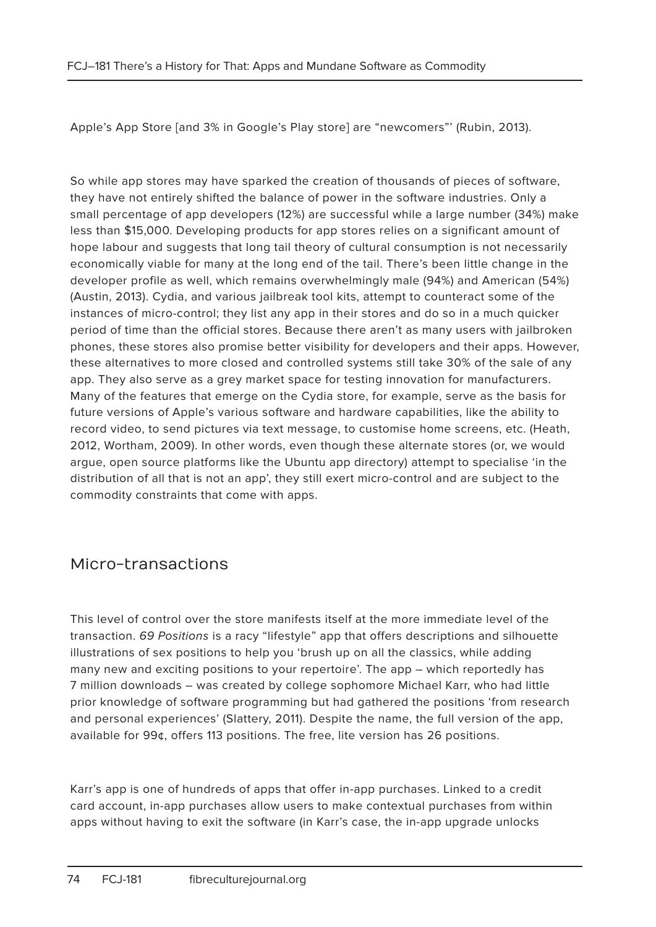Apple's App Store [and 3% in Google's Play store] are "newcomers"' (Rubin, 2013).

So while app stores may have sparked the creation of thousands of pieces of software, they have not entirely shifted the balance of power in the software industries. Only a small percentage of app developers (12%) are successful while a large number (34%) make less than \$15,000. Developing products for app stores relies on a significant amount of hope labour and suggests that long tail theory of cultural consumption is not necessarily economically viable for many at the long end of the tail. There's been little change in the developer profile as well, which remains overwhelmingly male (94%) and American (54%) (Austin, 2013). Cydia, and various jailbreak tool kits, attempt to counteract some of the instances of micro-control; they list any app in their stores and do so in a much quicker period of time than the official stores. Because there aren't as many users with jailbroken phones, these stores also promise better visibility for developers and their apps. However, these alternatives to more closed and controlled systems still take 30% of the sale of any app. They also serve as a grey market space for testing innovation for manufacturers. Many of the features that emerge on the Cydia store, for example, serve as the basis for future versions of Apple's various software and hardware capabilities, like the ability to record video, to send pictures via text message, to customise home screens, etc. (Heath, 2012, Wortham, 2009). In other words, even though these alternate stores (or, we would argue, open source platforms like the Ubuntu app directory) attempt to specialise 'in the distribution of all that is not an app', they still exert micro-control and are subject to the commodity constraints that come with apps.

### Micro-transactions

This level of control over the store manifests itself at the more immediate level of the transaction. 69 Positions is a racy "lifestyle" app that offers descriptions and silhouette illustrations of sex positions to help you 'brush up on all the classics, while adding many new and exciting positions to your repertoire'. The app – which reportedly has 7 million downloads – was created by college sophomore Michael Karr, who had little prior knowledge of software programming but had gathered the positions 'from research and personal experiences' (Slattery, 2011). Despite the name, the full version of the app, available for 99¢, offers 113 positions. The free, lite version has 26 positions.

Karr's app is one of hundreds of apps that offer in-app purchases. Linked to a credit card account, in-app purchases allow users to make contextual purchases from within apps without having to exit the software (in Karr's case, the in-app upgrade unlocks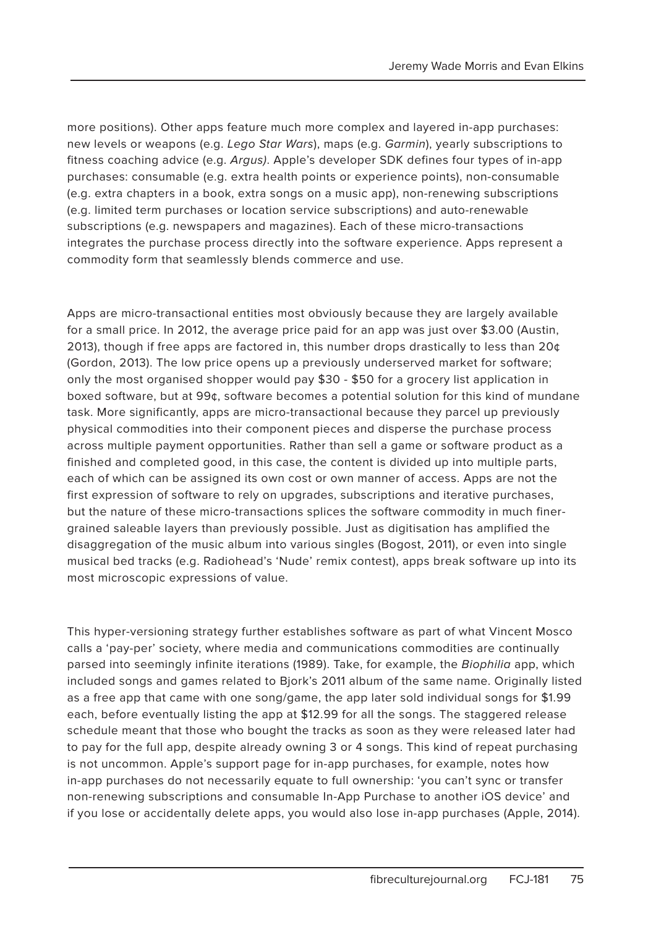more positions). Other apps feature much more complex and layered in-app purchases: new levels or weapons (e.g. Lego Star Wars), maps (e.g. Garmin), yearly subscriptions to fitness coaching advice (e.g. Argus). Apple's developer SDK defines four types of in-app purchases: consumable (e.g. extra health points or experience points), non-consumable (e.g. extra chapters in a book, extra songs on a music app), non-renewing subscriptions (e.g. limited term purchases or location service subscriptions) and auto-renewable subscriptions (e.g. newspapers and magazines). Each of these micro-transactions integrates the purchase process directly into the software experience. Apps represent a commodity form that seamlessly blends commerce and use.

Apps are micro-transactional entities most obviously because they are largely available for a small price. In 2012, the average price paid for an app was just over \$3.00 (Austin, 2013), though if free apps are factored in, this number drops drastically to less than  $20¢$ (Gordon, 2013). The low price opens up a previously underserved market for software; only the most organised shopper would pay \$30 - \$50 for a grocery list application in boxed software, but at 99¢, software becomes a potential solution for this kind of mundane task. More significantly, apps are micro-transactional because they parcel up previously physical commodities into their component pieces and disperse the purchase process across multiple payment opportunities. Rather than sell a game or software product as a finished and completed good, in this case, the content is divided up into multiple parts, each of which can be assigned its own cost or own manner of access. Apps are not the first expression of software to rely on upgrades, subscriptions and iterative purchases, but the nature of these micro-transactions splices the software commodity in much finergrained saleable layers than previously possible. Just as digitisation has amplified the disaggregation of the music album into various singles (Bogost, 2011), or even into single musical bed tracks (e.g. Radiohead's 'Nude' remix contest), apps break software up into its most microscopic expressions of value.

This hyper-versioning strategy further establishes software as part of what Vincent Mosco calls a 'pay-per' society, where media and communications commodities are continually parsed into seemingly infinite iterations (1989). Take, for example, the Biophilia app, which included songs and games related to Bjork's 2011 album of the same name. Originally listed as a free app that came with one song/game, the app later sold individual songs for \$1.99 each, before eventually listing the app at \$12.99 for all the songs. The staggered release schedule meant that those who bought the tracks as soon as they were released later had to pay for the full app, despite already owning 3 or 4 songs. This kind of repeat purchasing is not uncommon. Apple's support page for in-app purchases, for example, notes how in-app purchases do not necessarily equate to full ownership: 'you can't sync or transfer non-renewing subscriptions and consumable In-App Purchase to another iOS device' and if you lose or accidentally delete apps, you would also lose in-app purchases (Apple, 2014).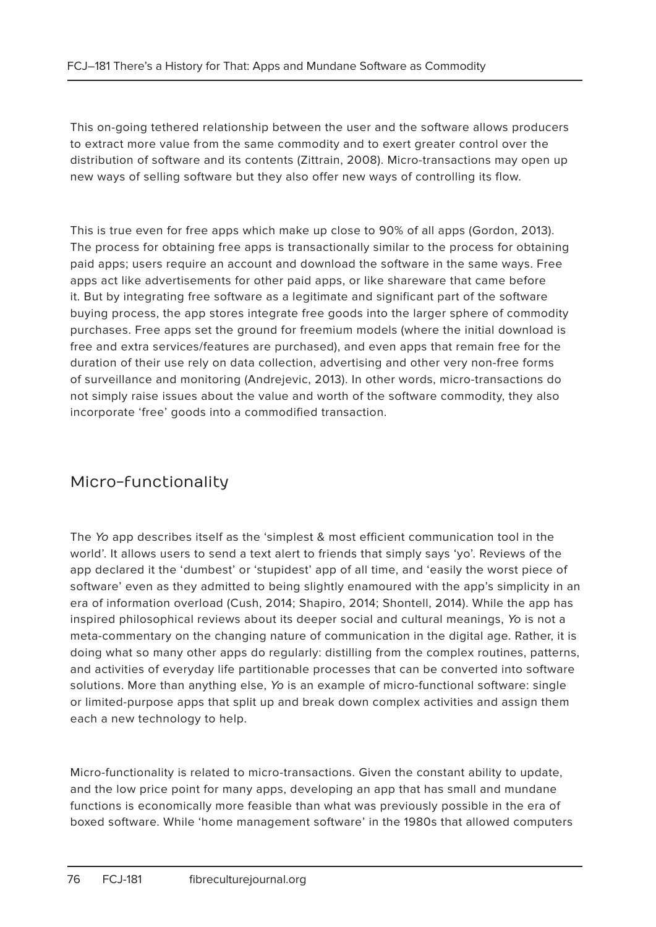This on-going tethered relationship between the user and the software allows producers to extract more value from the same commodity and to exert greater control over the distribution of software and its contents (Zittrain, 2008). Micro-transactions may open up new ways of selling software but they also offer new ways of controlling its flow.

This is true even for free apps which make up close to 90% of all apps (Gordon, 2013). The process for obtaining free apps is transactionally similar to the process for obtaining paid apps; users require an account and download the software in the same ways. Free apps act like advertisements for other paid apps, or like shareware that came before it. But by integrating free software as a legitimate and significant part of the software buying process, the app stores integrate free goods into the larger sphere of commodity purchases. Free apps set the ground for freemium models (where the initial download is free and extra services/features are purchased), and even apps that remain free for the duration of their use rely on data collection, advertising and other very non-free forms of surveillance and monitoring (Andrejevic, 2013). In other words, micro-transactions do not simply raise issues about the value and worth of the software commodity, they also incorporate 'free' goods into a commodified transaction.

## Micro-functionality

The Yo app describes itself as the 'simplest & most efficient communication tool in the world'. It allows users to send a text alert to friends that simply says 'yo'. Reviews of the app declared it the 'dumbest' or 'stupidest' app of all time, and 'easily the worst piece of software' even as they admitted to being slightly enamoured with the app's simplicity in an era of information overload (Cush, 2014; Shapiro, 2014; Shontell, 2014). While the app has inspired philosophical reviews about its deeper social and cultural meanings, Yo is not a meta-commentary on the changing nature of communication in the digital age. Rather, it is doing what so many other apps do regularly: distilling from the complex routines, patterns, and activities of everyday life partitionable processes that can be converted into software solutions. More than anything else, Yo is an example of micro-functional software: single or limited-purpose apps that split up and break down complex activities and assign them each a new technology to help.

Micro-functionality is related to micro-transactions. Given the constant ability to update, and the low price point for many apps, developing an app that has small and mundane functions is economically more feasible than what was previously possible in the era of boxed software. While 'home management software' in the 1980s that allowed computers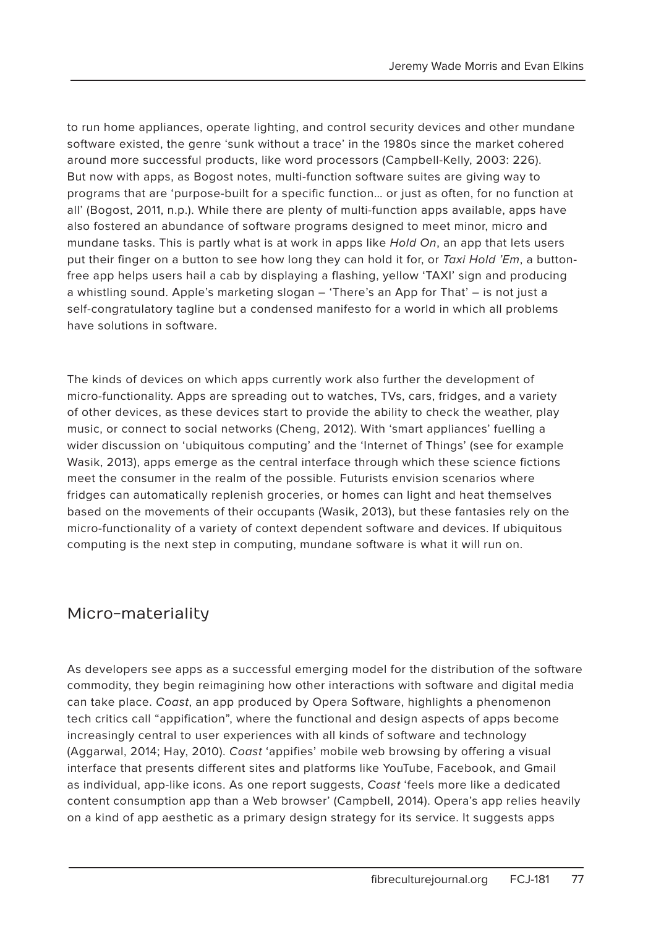to run home appliances, operate lighting, and control security devices and other mundane software existed, the genre 'sunk without a trace' in the 1980s since the market cohered around more successful products, like word processors (Campbell-Kelly, 2003: 226). But now with apps, as Bogost notes, multi-function software suites are giving way to programs that are 'purpose-built for a specific function… or just as often, for no function at all' (Bogost, 2011, n.p.). While there are plenty of multi-function apps available, apps have also fostered an abundance of software programs designed to meet minor, micro and mundane tasks. This is partly what is at work in apps like Hold On, an app that lets users put their finger on a button to see how long they can hold it for, or Taxi Hold 'Em, a buttonfree app helps users hail a cab by displaying a flashing, yellow 'TAXI' sign and producing a whistling sound. Apple's marketing slogan – 'There's an App for That' – is not just a self-congratulatory tagline but a condensed manifesto for a world in which all problems have solutions in software.

The kinds of devices on which apps currently work also further the development of micro-functionality. Apps are spreading out to watches, TVs, cars, fridges, and a variety of other devices, as these devices start to provide the ability to check the weather, play music, or connect to social networks (Cheng, 2012). With 'smart appliances' fuelling a wider discussion on 'ubiquitous computing' and the 'Internet of Things' (see for example Wasik, 2013), apps emerge as the central interface through which these science fictions meet the consumer in the realm of the possible. Futurists envision scenarios where fridges can automatically replenish groceries, or homes can light and heat themselves based on the movements of their occupants (Wasik, 2013), but these fantasies rely on the micro-functionality of a variety of context dependent software and devices. If ubiquitous computing is the next step in computing, mundane software is what it will run on.

### Micro-materiality

As developers see apps as a successful emerging model for the distribution of the software commodity, they begin reimagining how other interactions with software and digital media can take place. Coast, an app produced by Opera Software, highlights a phenomenon tech critics call "appification", where the functional and design aspects of apps become increasingly central to user experiences with all kinds of software and technology (Aggarwal, 2014; Hay, 2010). Coast 'appifies' mobile web browsing by offering a visual interface that presents different sites and platforms like YouTube, Facebook, and Gmail as individual, app-like icons. As one report suggests, Coast 'feels more like a dedicated content consumption app than a Web browser' (Campbell, 2014). Opera's app relies heavily on a kind of app aesthetic as a primary design strategy for its service. It suggests apps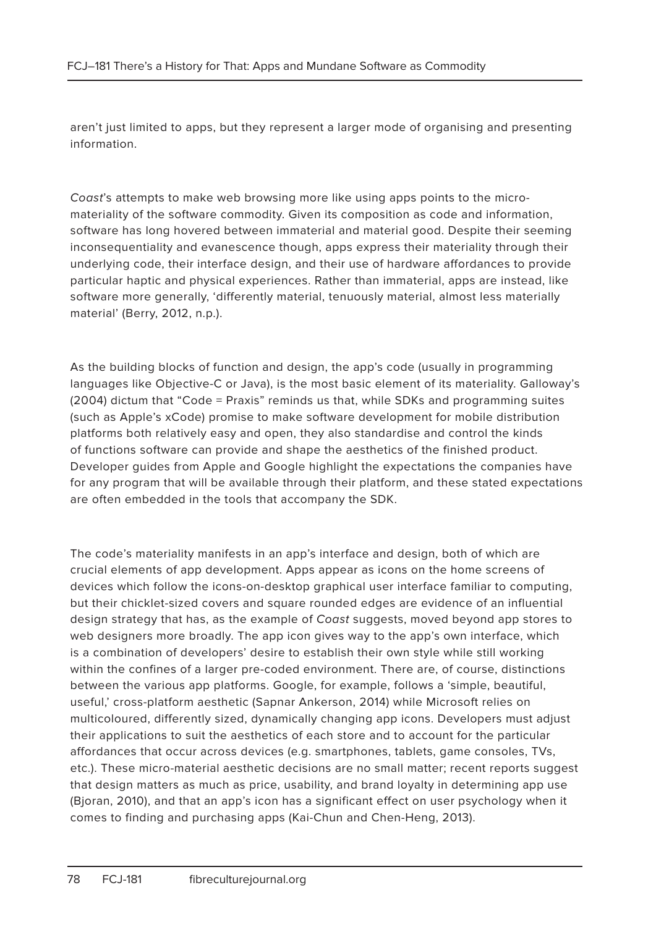aren't just limited to apps, but they represent a larger mode of organising and presenting information.

Coast's attempts to make web browsing more like using apps points to the micromateriality of the software commodity. Given its composition as code and information, software has long hovered between immaterial and material good. Despite their seeming inconsequentiality and evanescence though, apps express their materiality through their underlying code, their interface design, and their use of hardware affordances to provide particular haptic and physical experiences. Rather than immaterial, apps are instead, like software more generally, 'differently material, tenuously material, almost less materially material' (Berry, 2012, n.p.).

As the building blocks of function and design, the app's code (usually in programming languages like Objective-C or Java), is the most basic element of its materiality. Galloway's (2004) dictum that "Code = Praxis" reminds us that, while SDKs and programming suites (such as Apple's xCode) promise to make software development for mobile distribution platforms both relatively easy and open, they also standardise and control the kinds of functions software can provide and shape the aesthetics of the finished product. Developer guides from Apple and Google highlight the expectations the companies have for any program that will be available through their platform, and these stated expectations are often embedded in the tools that accompany the SDK.

The code's materiality manifests in an app's interface and design, both of which are crucial elements of app development. Apps appear as icons on the home screens of devices which follow the icons-on-desktop graphical user interface familiar to computing, but their chicklet-sized covers and square rounded edges are evidence of an influential design strategy that has, as the example of Coast suggests, moved beyond app stores to web designers more broadly. The app icon gives way to the app's own interface, which is a combination of developers' desire to establish their own style while still working within the confines of a larger pre-coded environment. There are, of course, distinctions between the various app platforms. Google, for example, follows a 'simple, beautiful, useful,' cross-platform aesthetic (Sapnar Ankerson, 2014) while Microsoft relies on multicoloured, differently sized, dynamically changing app icons. Developers must adjust their applications to suit the aesthetics of each store and to account for the particular affordances that occur across devices (e.g. smartphones, tablets, game consoles, TVs, etc.). These micro-material aesthetic decisions are no small matter; recent reports suggest that design matters as much as price, usability, and brand loyalty in determining app use (Bjoran, 2010), and that an app's icon has a significant effect on user psychology when it comes to finding and purchasing apps (Kai-Chun and Chen-Heng, 2013).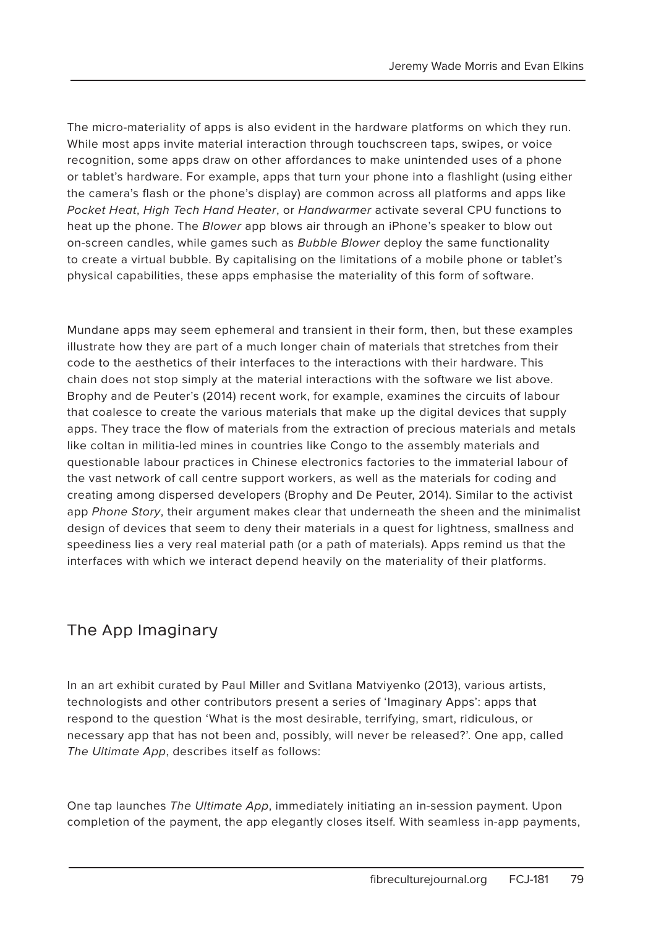The micro-materiality of apps is also evident in the hardware platforms on which they run. While most apps invite material interaction through touchscreen taps, swipes, or voice recognition, some apps draw on other affordances to make unintended uses of a phone or tablet's hardware. For example, apps that turn your phone into a flashlight (using either the camera's flash or the phone's display) are common across all platforms and apps like Pocket Heat, High Tech Hand Heater, or Handwarmer activate several CPU functions to heat up the phone. The Blower app blows air through an iPhone's speaker to blow out on-screen candles, while games such as Bubble Blower deploy the same functionality to create a virtual bubble. By capitalising on the limitations of a mobile phone or tablet's physical capabilities, these apps emphasise the materiality of this form of software.

Mundane apps may seem ephemeral and transient in their form, then, but these examples illustrate how they are part of a much longer chain of materials that stretches from their code to the aesthetics of their interfaces to the interactions with their hardware. This chain does not stop simply at the material interactions with the software we list above. Brophy and de Peuter's (2014) recent work, for example, examines the circuits of labour that coalesce to create the various materials that make up the digital devices that supply apps. They trace the flow of materials from the extraction of precious materials and metals like coltan in militia-led mines in countries like Congo to the assembly materials and questionable labour practices in Chinese electronics factories to the immaterial labour of the vast network of call centre support workers, as well as the materials for coding and creating among dispersed developers (Brophy and De Peuter, 2014). Similar to the activist app Phone Story, their argument makes clear that underneath the sheen and the minimalist design of devices that seem to deny their materials in a quest for lightness, smallness and speediness lies a very real material path (or a path of materials). Apps remind us that the interfaces with which we interact depend heavily on the materiality of their platforms.

# The App Imaginary

In an art exhibit curated by Paul Miller and Svitlana Matviyenko (2013), various artists, technologists and other contributors present a series of 'Imaginary Apps': apps that respond to the question 'What is the most desirable, terrifying, smart, ridiculous, or necessary app that has not been and, possibly, will never be released?'. One app, called The Ultimate App, describes itself as follows:

One tap launches The Ultimate App, immediately initiating an in-session payment. Upon completion of the payment, the app elegantly closes itself. With seamless in-app payments,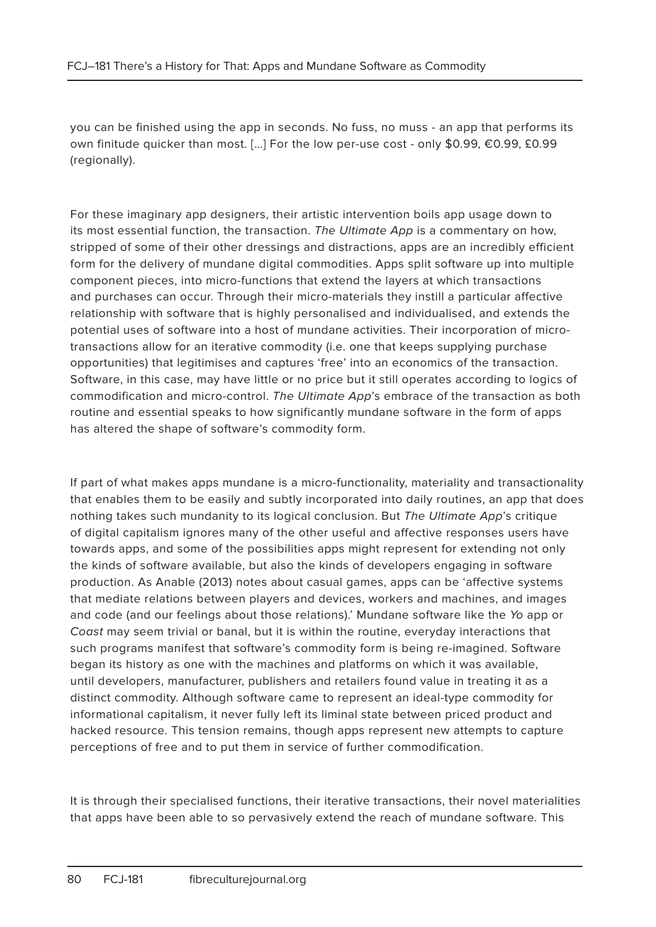you can be finished using the app in seconds. No fuss, no muss - an app that performs its own finitude quicker than most. […] For the low per-use cost - only \$0.99, €0.99, £0.99 (regionally).

For these imaginary app designers, their artistic intervention boils app usage down to its most essential function, the transaction. The Ultimate App is a commentary on how, stripped of some of their other dressings and distractions, apps are an incredibly efficient form for the delivery of mundane digital commodities. Apps split software up into multiple component pieces, into micro-functions that extend the layers at which transactions and purchases can occur. Through their micro-materials they instill a particular affective relationship with software that is highly personalised and individualised, and extends the potential uses of software into a host of mundane activities. Their incorporation of microtransactions allow for an iterative commodity (i.e. one that keeps supplying purchase opportunities) that legitimises and captures 'free' into an economics of the transaction. Software, in this case, may have little or no price but it still operates according to logics of commodification and micro-control. The Ultimate App's embrace of the transaction as both routine and essential speaks to how significantly mundane software in the form of apps has altered the shape of software's commodity form.

If part of what makes apps mundane is a micro-functionality, materiality and transactionality that enables them to be easily and subtly incorporated into daily routines, an app that does nothing takes such mundanity to its logical conclusion. But The Ultimate App's critique of digital capitalism ignores many of the other useful and affective responses users have towards apps, and some of the possibilities apps might represent for extending not only the kinds of software available, but also the kinds of developers engaging in software production. As Anable (2013) notes about casual games, apps can be 'affective systems that mediate relations between players and devices, workers and machines, and images and code (and our feelings about those relations).' Mundane software like the Yo app or Coast may seem trivial or banal, but it is within the routine, everyday interactions that such programs manifest that software's commodity form is being re-imagined. Software began its history as one with the machines and platforms on which it was available, until developers, manufacturer, publishers and retailers found value in treating it as a distinct commodity. Although software came to represent an ideal-type commodity for informational capitalism, it never fully left its liminal state between priced product and hacked resource. This tension remains, though apps represent new attempts to capture perceptions of free and to put them in service of further commodification.

It is through their specialised functions, their iterative transactions, their novel materialities that apps have been able to so pervasively extend the reach of mundane software. This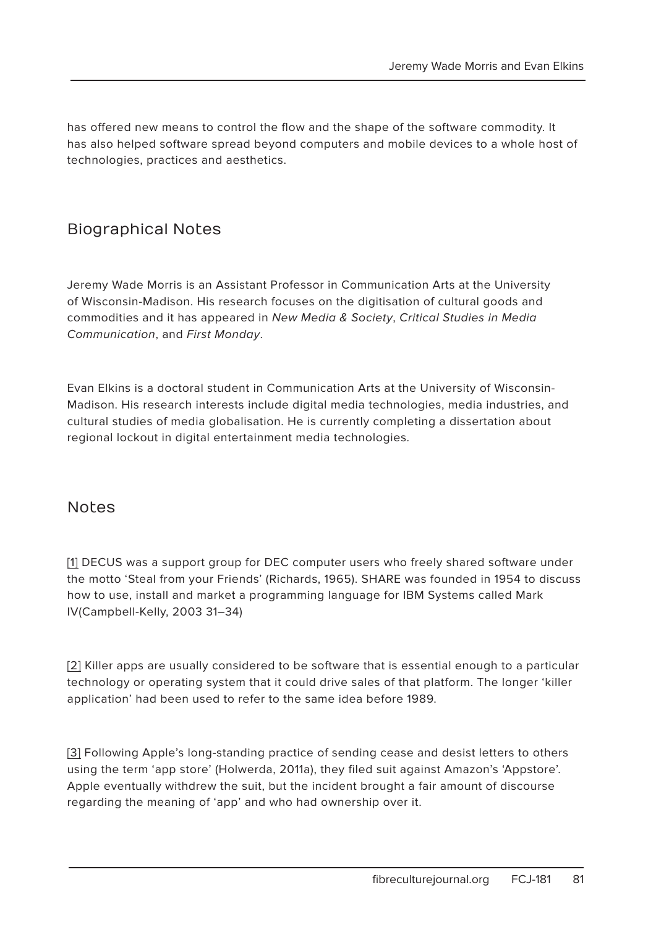has offered new means to control the flow and the shape of the software commodity. It has also helped software spread beyond computers and mobile devices to a whole host of technologies, practices and aesthetics.

### Biographical Notes

Jeremy Wade Morris is an Assistant Professor in Communication Arts at the University of Wisconsin-Madison. His research focuses on the digitisation of cultural goods and commodities and it has appeared in New Media & Society, Critical Studies in Media Communication, and First Monday.

Evan Elkins is a doctoral student in Communication Arts at the University of Wisconsin-Madison. His research interests include digital media technologies, media industries, and cultural studies of media globalisation. He is currently completing a dissertation about regional lockout in digital entertainment media technologies.

#### Notes

[1] DECUS was a support group for DEC computer users who freely shared software under the motto 'Steal from your Friends' (Richards, 1965). SHARE was founded in 1954 to discuss how to use, install and market a programming language for IBM Systems called Mark IV(Campbell-Kelly, 2003 31–34)

[2] Killer apps are usually considered to be software that is essential enough to a particular technology or operating system that it could drive sales of that platform. The longer 'killer application' had been used to refer to the same idea before 1989.

[3] Following Apple's long-standing practice of sending cease and desist letters to others using the term 'app store' (Holwerda, 2011a), they filed suit against Amazon's 'Appstore'. Apple eventually withdrew the suit, but the incident brought a fair amount of discourse regarding the meaning of 'app' and who had ownership over it.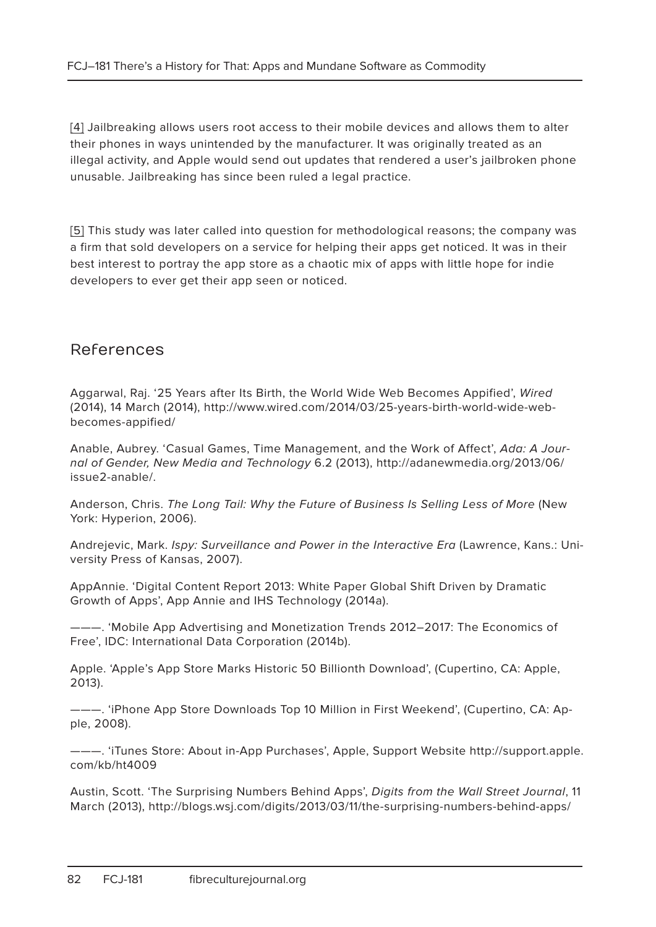[4] Jailbreaking allows users root access to their mobile devices and allows them to alter their phones in ways unintended by the manufacturer. It was originally treated as an illegal activity, and Apple would send out updates that rendered a user's jailbroken phone unusable. Jailbreaking has since been ruled a legal practice.

[5] This study was later called into question for methodological reasons; the company was a firm that sold developers on a service for helping their apps get noticed. It was in their best interest to portray the app store as a chaotic mix of apps with little hope for indie developers to ever get their app seen or noticed.

#### References

Aggarwal, Raj. '25 Years after Its Birth, the World Wide Web Becomes Appified', Wired (2014), 14 March (2014), http://www.wired.com/2014/03/25-years-birth-world-wide-webbecomes-appified/

Anable, Aubrey. 'Casual Games, Time Management, and the Work of Affect', Ada: A Journal of Gender, New Media and Technology 6.2 (2013), http://adanewmedia.org/2013/06/ issue2-anable/.

Anderson, Chris. The Long Tail: Why the Future of Business Is Selling Less of More (New York: Hyperion, 2006).

Andrejevic, Mark. Ispy: Surveillance and Power in the Interactive Era (Lawrence, Kans.: University Press of Kansas, 2007).

AppAnnie. 'Digital Content Report 2013: White Paper Global Shift Driven by Dramatic Growth of Apps', App Annie and IHS Technology (2014a).

———. 'Mobile App Advertising and Monetization Trends 2012–2017: The Economics of Free', IDC: International Data Corporation (2014b).

Apple. 'Apple's App Store Marks Historic 50 Billionth Download', (Cupertino, CA: Apple, 2013).

———. 'iPhone App Store Downloads Top 10 Million in First Weekend', (Cupertino, CA: Apple, 2008).

———. 'iTunes Store: About in-App Purchases', Apple, Support Website http://support.apple. com/kb/ht4009

Austin, Scott. 'The Surprising Numbers Behind Apps', Digits from the Wall Street Journal, 11 March (2013), http://blogs.wsj.com/digits/2013/03/11/the-surprising-numbers-behind-apps/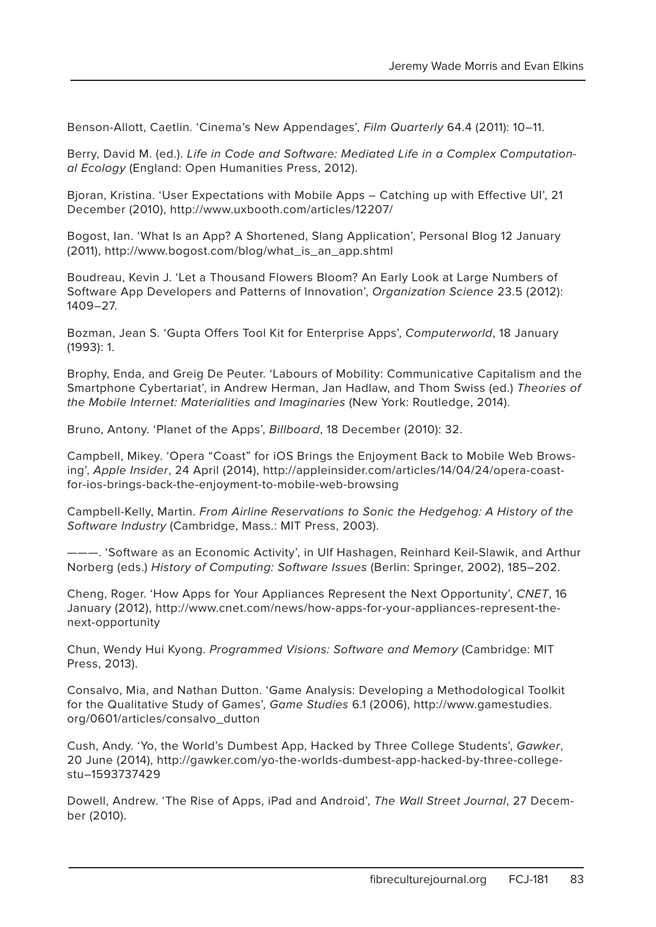Benson-Allott, Caetlin. 'Cinema's New Appendages', Film Quarterly 64.4 (2011): 10–11.

Berry, David M. (ed.). Life in Code and Software: Mediated Life in a Complex Computational Ecology (England: Open Humanities Press, 2012).

Bjoran, Kristina. 'User Expectations with Mobile Apps – Catching up with Effective UI', 21 December (2010), http://www.uxbooth.com/articles/12207/

Bogost, Ian. 'What Is an App? A Shortened, Slang Application', Personal Blog 12 January (2011), http://www.bogost.com/blog/what\_is\_an\_app.shtml

Boudreau, Kevin J. 'Let a Thousand Flowers Bloom? An Early Look at Large Numbers of Software App Developers and Patterns of Innovation', Organization Science 23.5 (2012): 1409–27.

Bozman, Jean S. 'Gupta Offers Tool Kit for Enterprise Apps', Computerworld, 18 January (1993): 1.

Brophy, Enda, and Greig De Peuter. 'Labours of Mobility: Communicative Capitalism and the Smartphone Cybertariat', in Andrew Herman, Jan Hadlaw, and Thom Swiss (ed.) Theories of the Mobile Internet: Materialities and Imaginaries (New York: Routledge, 2014).

Bruno, Antony. 'Planet of the Apps', Billboard, 18 December (2010): 32.

Campbell, Mikey. 'Opera "Coast" for iOS Brings the Enjoyment Back to Mobile Web Browsing', Apple Insider, 24 April (2014), http://appleinsider.com/articles/14/04/24/opera-coastfor-ios-brings-back-the-enjoyment-to-mobile-web-browsing

Campbell-Kelly, Martin. From Airline Reservations to Sonic the Hedgehog: A History of the Software Industry (Cambridge, Mass.: MIT Press, 2003).

———. 'Software as an Economic Activity', in Ulf Hashagen, Reinhard Keil-Slawik, and Arthur Norberg (eds.) History of Computing: Software Issues (Berlin: Springer, 2002), 185–202.

Cheng, Roger. 'How Apps for Your Appliances Represent the Next Opportunity', CNET, 16 January (2012), http://www.cnet.com/news/how-apps-for-your-appliances-represent-thenext-opportunity

Chun, Wendy Hui Kyong. Programmed Visions: Software and Memory (Cambridge: MIT Press, 2013).

Consalvo, Mia, and Nathan Dutton. 'Game Analysis: Developing a Methodological Toolkit for the Qualitative Study of Games', Game Studies 6.1 (2006), http://www.gamestudies. org/0601/articles/consalvo\_dutton

Cush, Andy. 'Yo, the World's Dumbest App, Hacked by Three College Students', Gawker, 20 June (2014), http://gawker.com/yo-the-worlds-dumbest-app-hacked-by-three-collegestu–1593737429

Dowell, Andrew. 'The Rise of Apps, iPad and Android', The Wall Street Journal, 27 December (2010).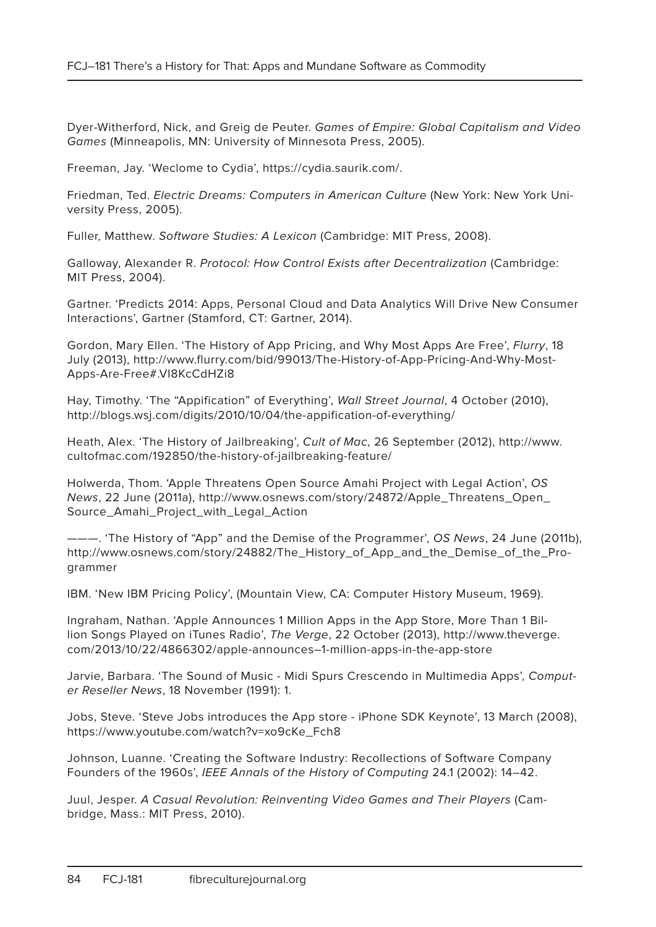Dyer-Witherford, Nick, and Greig de Peuter. Games of Empire: Global Capitalism and Video Games (Minneapolis, MN: University of Minnesota Press, 2005).

Freeman, Jay. 'Weclome to Cydia', https://cydia.saurik.com/.

Friedman, Ted. Electric Dreams: Computers in American Culture (New York: New York University Press, 2005).

Fuller, Matthew. Software Studies: A Lexicon (Cambridge: MIT Press, 2008).

Galloway, Alexander R. Protocol: How Control Exists after Decentralization (Cambridge: MIT Press, 2004).

Gartner. 'Predicts 2014: Apps, Personal Cloud and Data Analytics Will Drive New Consumer Interactions', Gartner (Stamford, CT: Gartner, 2014).

Gordon, Mary Ellen. 'The History of App Pricing, and Why Most Apps Are Free', Flurry, 18 July (2013), http://www.flurry.com/bid/99013/The-History-of-App-Pricing-And-Why-Most-Apps-Are-Free#.VI8KcCdHZi8

Hay, Timothy. 'The "Appification" of Everything', Wall Street Journal, 4 October (2010), http://blogs.wsj.com/digits/2010/10/04/the-appification-of-everything/

Heath, Alex. 'The History of Jailbreaking', Cult of Mac, 26 September (2012), http://www. cultofmac.com/192850/the-history-of-jailbreaking-feature/

Holwerda, Thom. 'Apple Threatens Open Source Amahi Project with Legal Action', OS News, 22 June (2011a), http://www.osnews.com/story/24872/Apple\_Threatens\_Open\_ Source\_Amahi\_Project\_with\_Legal\_Action

–. 'The History of "App" and the Demise of the Programmer', OS News, 24 June (2011b), http://www.osnews.com/story/24882/The\_History\_of\_App\_and\_the\_Demise\_of\_the\_Programmer

IBM. 'New IBM Pricing Policy', (Mountain View, CA: Computer History Museum, 1969).

Ingraham, Nathan. 'Apple Announces 1 Million Apps in the App Store, More Than 1 Billion Songs Played on iTunes Radio', The Verge, 22 October (2013), http://www.theverge. com/2013/10/22/4866302/apple-announces–1-million-apps-in-the-app-store

Jarvie, Barbara. 'The Sound of Music - Midi Spurs Crescendo in Multimedia Apps', Computer Reseller News, 18 November (1991): 1.

Jobs, Steve. 'Steve Jobs introduces the App store - iPhone SDK Keynote', 13 March (2008), https://www.youtube.com/watch?v=xo9cKe\_Fch8

Johnson, Luanne. 'Creating the Software Industry: Recollections of Software Company Founders of the 1960s', IEEE Annals of the History of Computing 24.1 (2002): 14–42.

Juul, Jesper. A Casual Revolution: Reinventing Video Games and Their Players (Cambridge, Mass.: MIT Press, 2010).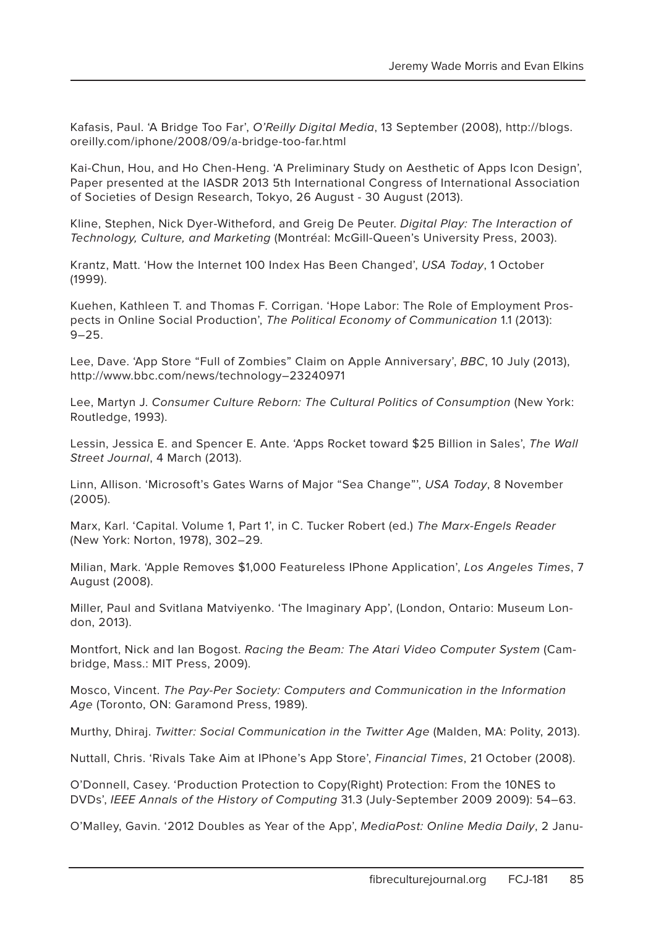Kafasis, Paul. 'A Bridge Too Far', O'Reilly Digital Media, 13 September (2008), http://blogs. oreilly.com/iphone/2008/09/a-bridge-too-far.html

Kai-Chun, Hou, and Ho Chen-Heng. 'A Preliminary Study on Aesthetic of Apps Icon Design', Paper presented at the IASDR 2013 5th International Congress of International Association of Societies of Design Research, Tokyo, 26 August - 30 August (2013).

Kline, Stephen, Nick Dyer-Witheford, and Greig De Peuter. Digital Play: The Interaction of Technology, Culture, and Marketing (Montréal: McGill-Queen's University Press, 2003).

Krantz, Matt. 'How the Internet 100 Index Has Been Changed', USA Today, 1 October (1999).

Kuehen, Kathleen T. and Thomas F. Corrigan. 'Hope Labor: The Role of Employment Prospects in Online Social Production', The Political Economy of Communication 1.1 (2013):  $9 - 25$ 

Lee, Dave. 'App Store "Full of Zombies" Claim on Apple Anniversary', BBC, 10 July (2013), http://www.bbc.com/news/technology–23240971

Lee, Martyn J. Consumer Culture Reborn: The Cultural Politics of Consumption (New York: Routledge, 1993).

Lessin, Jessica E. and Spencer E. Ante. 'Apps Rocket toward \$25 Billion in Sales', The Wall Street Journal, 4 March (2013).

Linn, Allison. 'Microsoft's Gates Warns of Major "Sea Change"', USA Today, 8 November (2005).

Marx, Karl. 'Capital. Volume 1, Part 1', in C. Tucker Robert (ed.) The Marx-Engels Reader (New York: Norton, 1978), 302–29.

Milian, Mark. 'Apple Removes \$1,000 Featureless IPhone Application', Los Angeles Times, 7 August (2008).

Miller, Paul and Svitlana Matviyenko. 'The Imaginary App', (London, Ontario: Museum London, 2013).

Montfort, Nick and Ian Bogost. Racing the Beam: The Atari Video Computer System (Cambridge, Mass.: MIT Press, 2009).

Mosco, Vincent. The Pay-Per Society: Computers and Communication in the Information Age (Toronto, ON: Garamond Press, 1989).

Murthy, Dhiraj. Twitter: Social Communication in the Twitter Age (Malden, MA: Polity, 2013).

Nuttall, Chris. 'Rivals Take Aim at IPhone's App Store', Financial Times, 21 October (2008).

O'Donnell, Casey. 'Production Protection to Copy(Right) Protection: From the 10NES to DVDs', IEEE Annals of the History of Computing 31.3 (July-September 2009 2009): 54–63.

O'Malley, Gavin. '2012 Doubles as Year of the App', MediaPost: Online Media Daily, 2 Janu-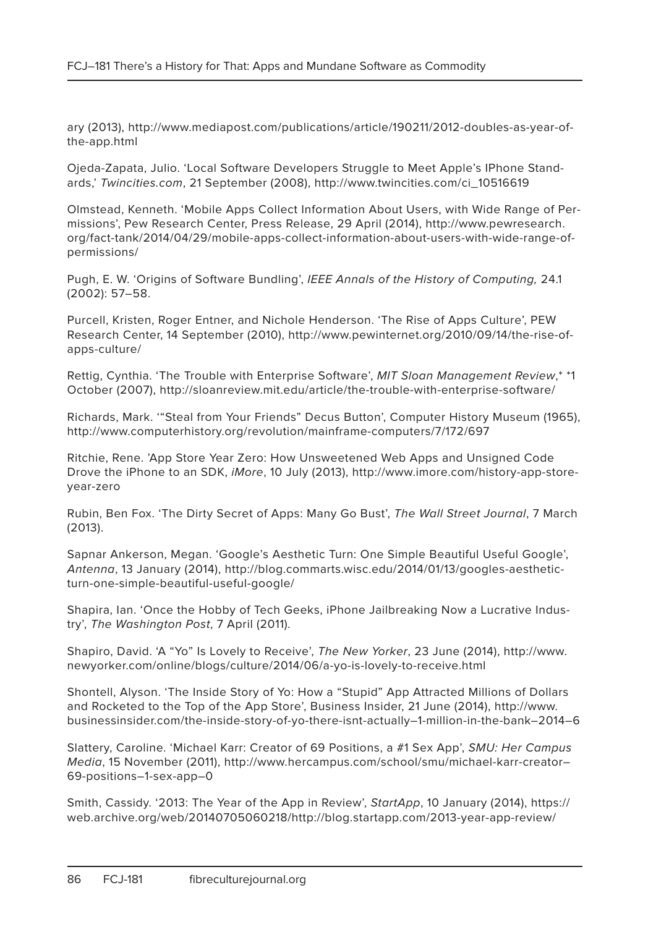ary (2013), http://www.mediapost.com/publications/article/190211/2012-doubles-as-year-ofthe-app.html

Ojeda-Zapata, Julio. 'Local Software Developers Struggle to Meet Apple's IPhone Standards,' Twincities.com, 21 September (2008), http://www.twincities.com/ci\_10516619

Olmstead, Kenneth. 'Mobile Apps Collect Information About Users, with Wide Range of Permissions', Pew Research Center, Press Release, 29 April (2014), http://www.pewresearch. org/fact-tank/2014/04/29/mobile-apps-collect-information-about-users-with-wide-range-ofpermissions/

Pugh, E. W. 'Origins of Software Bundling', IEEE Annals of the History of Computing, 24.1 (2002): 57–58.

Purcell, Kristen, Roger Entner, and Nichole Henderson. 'The Rise of Apps Culture', PEW Research Center, 14 September (2010), http://www.pewinternet.org/2010/09/14/the-rise-ofapps-culture/

Rettig, Cynthia. 'The Trouble with Enterprise Software', MIT Sloan Management Review,\* \*1 October (2007), http://sloanreview.mit.edu/article/the-trouble-with-enterprise-software/

Richards, Mark. '"Steal from Your Friends" Decus Button', Computer History Museum (1965), http://www.computerhistory.org/revolution/mainframe-computers/7/172/697

Ritchie, Rene. 'App Store Year Zero: How Unsweetened Web Apps and Unsigned Code Drove the iPhone to an SDK, iMore, 10 July (2013), http://www.imore.com/history-app-storeyear-zero

Rubin, Ben Fox. 'The Dirty Secret of Apps: Many Go Bust', The Wall Street Journal, 7 March (2013).

Sapnar Ankerson, Megan. 'Google's Aesthetic Turn: One Simple Beautiful Useful Google', Antenna, 13 January (2014), http://blog.commarts.wisc.edu/2014/01/13/googles-aestheticturn-one-simple-beautiful-useful-google/

Shapira, Ian. 'Once the Hobby of Tech Geeks, iPhone Jailbreaking Now a Lucrative Industry', The Washington Post, 7 April (2011).

Shapiro, David. 'A "Yo" Is Lovely to Receive', The New Yorker, 23 June (2014), http://www. newyorker.com/online/blogs/culture/2014/06/a-yo-is-lovely-to-receive.html

Shontell, Alyson. 'The Inside Story of Yo: How a "Stupid" App Attracted Millions of Dollars and Rocketed to the Top of the App Store', Business Insider, 21 June (2014), http://www. businessinsider.com/the-inside-story-of-yo-there-isnt-actually–1-million-in-the-bank–2014–6

Slattery, Caroline. 'Michael Karr: Creator of 69 Positions, a #1 Sex App', SMU: Her Campus Media, 15 November (2011), http://www.hercampus.com/school/smu/michael-karr-creator– 69-positions–1-sex-app–0

Smith, Cassidy. '2013: The Year of the App in Review', StartApp, 10 January (2014), https:// web.archive.org/web/20140705060218/http://blog.startapp.com/2013-year-app-review/